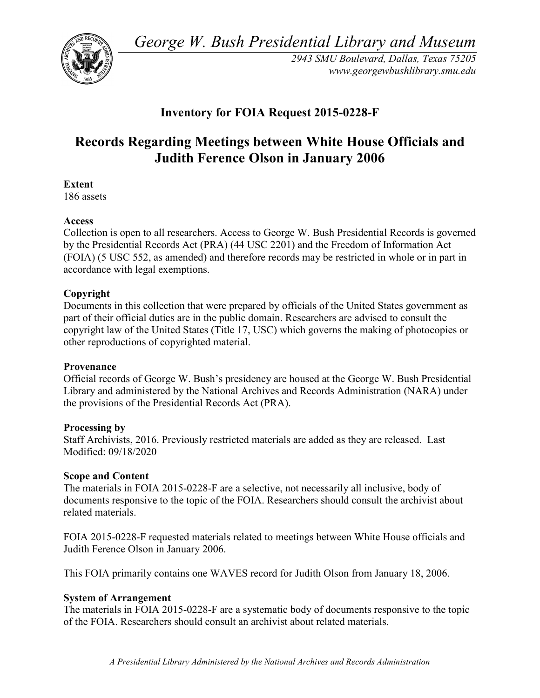*George W. Bush Presidential Library and Museum* 



 *2943 SMU Boulevard, Dallas, Texas 75205 <www.georgewbushlibrary.smu.edu>*

## **Inventory for FOIA Request 2015-0228-F**

# **Records Regarding Meetings between White House Officials and Judith Ference Olson in January 2006**

#### **Extent**

186 assets

#### **Access**

 by the Presidential Records Act (PRA) (44 USC 2201) and the Freedom of Information Act Collection is open to all researchers. Access to George W. Bush Presidential Records is governed (FOIA) (5 USC 552, as amended) and therefore records may be restricted in whole or in part in accordance with legal exemptions.

#### **Copyright**

 Documents in this collection that were prepared by officials of the United States government as part of their official duties are in the public domain. Researchers are advised to consult the copyright law of the United States (Title 17, USC) which governs the making of photocopies or other reproductions of copyrighted material.

#### **Provenance**

 Official records of George W. Bush's presidency are housed at the George W. Bush Presidential Library and administered by the National Archives and Records Administration (NARA) under the provisions of the Presidential Records Act (PRA).

#### **Processing by**

 Staff Archivists, 2016. Previously restricted materials are added as they are released. Last Modified: 09/18/2020

#### **Scope and Content**

The materials in FOIA 2015-0228-F are a selective, not necessarily all inclusive, body of documents responsive to the topic of the FOIA. Researchers should consult the archivist about related materials.

 FOIA 2015-0228-F requested materials related to meetings between White House officials and Judith Ference Olson in January 2006.

This FOIA primarily contains one WAVES record for Judith Olson from January 18, 2006.

### **System of Arrangement**

The materials in FOIA 2015-0228-F are a systematic body of documents responsive to the topic of the FOIA. Researchers should consult an archivist about related materials.